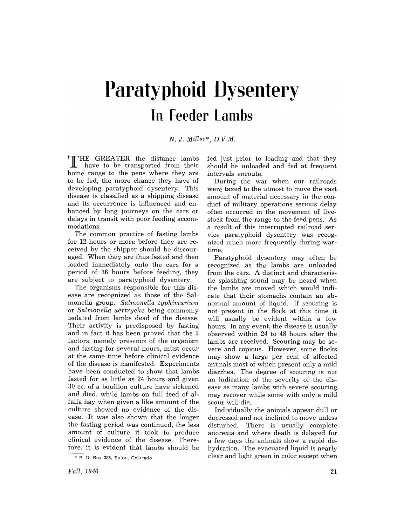## **Paratyphoid Dysentery In Feeder Lambs**

## N. J. *Miller\*, D.V.M.*

THE GREATER the distance lambs<br>Thave to be transported from their home range to the pens where they are to be fed, the more chance they have of developing paratyphoid dysentery. This disease is classified as a shipping disease and its occurrence is influenced and enhanced by long journeys on the cars or delays in transit with poor feeding accommodations.

The common practice of fasting lambs for 12 hours or more before they are received by the shipper should be discouraged. When they are thus fasted and then loaded immediately onto the cars for a period of 36 hours before feeding, they are subject to paratyphoid dysentery.

The organisms responsible for this disease are recognized as those of the Salmonella group. *Salmonella typhimurium*  or *Salmonella aertrycke* being commonly isolated from lambs dead of the disease. Their activity is predisposed by fasting and in fact it has been proved that the 2 factors, namely presence of the organism and fasting for several hours, must occur at the same time before clinical evidence of the disease is manifested. Experiments have been conducted to show that lambs fasted for as little as 24 hours and given 30 cc. of a bouillon culture have sickened and died, while lambs on full feed of alfalfa hay when given a like amount of the culture showed no evidence of the disease. It was also shown that the longer the fasting period was continued, the less amount of culture it took to produce clinical evidence of the disease. Therefore, it is evident that lambs should be fed just prior to loading and that they should be unloaded and fed at frequent intervals enroute.

During the war when our railroads were taxed to the utmost to move the vast amount of material necessary in the conduct of military operations serious delay often occurred in the movement of livestock from the range to the feed pens. As a result of this interrupted railroad service paratyphoid dysentery was recognized much more frequently during wartime.

Paratyphoid dysentery may often be recognized as the lambs are unloaded from the cars. A distinct and characteristic splashing sound may be heard when the lambs are moved which wou!d indicate that their stomachs contain an abnormal amount of liquid. If scouring is not present in the flock at this time it will usually be evident within a few hours. In any event, the disease is usually observed within 24 to 48 hours after the lambs are received. Scouring may be severe and copious. However, some flocks may show a large per cent of affected animals most of which present only a mild diarrhea. The degree of scouring is not an indication of the severity of the disease as many lambs with severe scouring may recover while some with only a mild scour will die.

Individually the animals appear dull or depressed and not inclined to move unless disturbed. There is usually complete anorexia and where death is delayed for a few days the animals show a rapid dehydration. The evacuated liquid is nearly clear and light green in color except when

<sup>•</sup> P. o. Box 335, Eaton, Colorado.